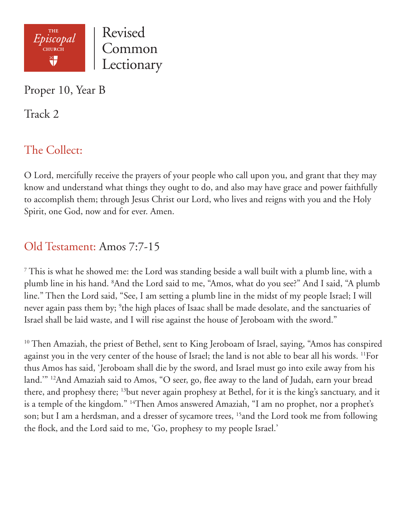

Proper 10, Year B

Track 2

# The Collect:

O Lord, mercifully receive the prayers of your people who call upon you, and grant that they may know and understand what things they ought to do, and also may have grace and power faithfully to accomplish them; through Jesus Christ our Lord, who lives and reigns with you and the Holy Spirit, one God, now and for ever. Amen.

## Old Testament: Amos 7:7-15

 $7$  This is what he showed me: the Lord was standing beside a wall built with a plumb line, with a plumb line in his hand. 8 And the Lord said to me, "Amos, what do you see?" And I said, "A plumb line." Then the Lord said, "See, I am setting a plumb line in the midst of my people Israel; I will never again pass them by; <sup>9</sup>the high places of Isaac shall be made desolate, and the sanctuaries of Israel shall be laid waste, and I will rise against the house of Jeroboam with the sword."

<sup>10</sup> Then Amaziah, the priest of Bethel, sent to King Jeroboam of Israel, saying, "Amos has conspired against you in the very center of the house of Israel; the land is not able to bear all his words. <sup>11</sup>For thus Amos has said, 'Jeroboam shall die by the sword, and Israel must go into exile away from his land.'" 12And Amaziah said to Amos, "O seer, go, flee away to the land of Judah, earn your bread there, and prophesy there; 13but never again prophesy at Bethel, for it is the king's sanctuary, and it is a temple of the kingdom." <sup>14</sup>Then Amos answered Amaziah, "I am no prophet, nor a prophet's son; but I am a herdsman, and a dresser of sycamore trees, <sup>15</sup> and the Lord took me from following the flock, and the Lord said to me, 'Go, prophesy to my people Israel.'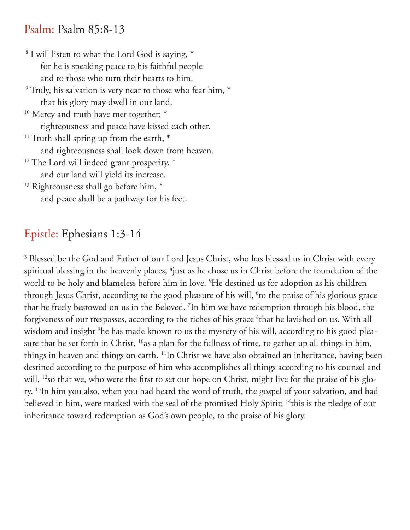#### Psalm: Psalm 85:8-13

 8 I will listen to what the Lord God is saying, \* for he is speaking peace to his faithful people and to those who turn their hearts to him. 9 Truly, his salvation is very near to those who fear him, \* that his glory may dwell in our land. <sup>10</sup> Mercy and truth have met together; \* righteousness and peace have kissed each other.  $11$  Truth shall spring up from the earth,  $*$  and righteousness shall look down from heaven. <sup>12</sup> The Lord will indeed grant prosperity, \* and our land will yield its increase. <sup>13</sup> Righteousness shall go before him, \* and peace shall be a pathway for his feet.

## Epistle: Ephesians 1:3-14

<sup>3</sup> Blessed be the God and Father of our Lord Jesus Christ, who has blessed us in Christ with every spiritual blessing in the heavenly places, <sup>4</sup>just as he chose us in Christ before the foundation of the world to be holy and blameless before him in love. 5 He destined us for adoption as his children through Jesus Christ, according to the good pleasure of his will, <sup>6</sup>to the praise of his glorious grace that he freely bestowed on us in the Beloved. 7 In him we have redemption through his blood, the forgiveness of our trespasses, according to the riches of his grace <sup>8</sup>that he lavished on us. With all wisdom and insight 9 he has made known to us the mystery of his will, according to his good pleasure that he set forth in Christ, <sup>10</sup>as a plan for the fullness of time, to gather up all things in him, things in heaven and things on earth. 11In Christ we have also obtained an inheritance, having been destined according to the purpose of him who accomplishes all things according to his counsel and will, <sup>12</sup>so that we, who were the first to set our hope on Christ, might live for the praise of his glory. 13In him you also, when you had heard the word of truth, the gospel of your salvation, and had believed in him, were marked with the seal of the promised Holy Spirit; <sup>14</sup>this is the pledge of our inheritance toward redemption as God's own people, to the praise of his glory.